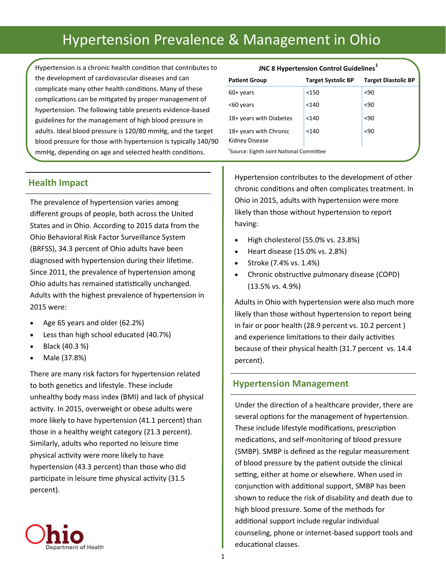# Hypertension Prevalence & Management in Ohio

Hypertension is a chronic health condition that contributes to the development of cardiovascular diseases and can complicate many other health conditions. Many of these complications can be mitigated by proper management of hypertension. The following table presents evidence-based guidelines for the management of high blood pressure in adults. Ideal blood pressure is 120/80 mmHg, and the target blood pressure for those with hypertension is typically 140/90 mmHg, depending on age and selected health conditions.

#### **JNC 8 Hypertension Control Guidelines<sup>1</sup>**

| <b>Patient Group</b>                                 | <b>Target Systolic BP</b> | <b>Target Diastolic BP</b> |  |  |  |
|------------------------------------------------------|---------------------------|----------------------------|--|--|--|
| $60+$ years                                          | $<$ 150                   | $90$                       |  |  |  |
| <60 years                                            | < 140                     | $90$                       |  |  |  |
| 18+ years with Diabetes                              | < 140                     | $90$                       |  |  |  |
| 18+ years with Chronic                               | < 140                     | < 90                       |  |  |  |
| Kidney Disease                                       |                           |                            |  |  |  |
| <sup>1</sup> Source: Eighth Joint National Committee |                           |                            |  |  |  |

## **Health Impact**

The prevalence of hypertension varies among different groups of people, both across the United States and in Ohio. According to 2015 data from the Ohio Behavioral Risk Factor Surveillance System (BRFSS), 34.3 percent of Ohio adults have been diagnosed with hypertension during their lifetime. Since 2011, the prevalence of hypertension among Ohio adults has remained statistically unchanged. Adults with the highest prevalence of hypertension in 2015 were:

- Age 65 years and older (62.2%)
- Less than high school educated (40.7%)
- Black (40.3 %)
- Male (37.8%)

There are many risk factors for hypertension related to both genetics and lifestyle. These include unhealthy body mass index (BMI) and lack of physical activity. In 2015, overweight or obese adults were more likely to have hypertension (41.1 percent) than those in a healthy weight category (21.3 percent). Similarly, adults who reported no leisure time physical activity were more likely to have hypertension (43.3 percent) than those who did participate in leisure time physical activity (31.5 percent).



Hypertension contributes to the development of other chronic conditions and often complicates treatment. In Ohio in 2015, adults with hypertension were more likely than those without hypertension to report having:

- $\bullet$  High cholesterol (55.0% vs. 23.8%)
- $\bullet$  Heart disease (15.0% vs. 2.8%)
- $\bullet$  Stroke (7.4% vs. 1.4%)
- Chronic obstructive pulmonary disease (COPD) (13.5% vs. 4.9%)

Adults in Ohio with hypertension were also much more likely than those without hypertension to report being in fair or poor health (28.9 percent vs. 10.2 percent ) and experience limitations to their daily activities because of their physical health (31.7 percent vs. 14.4 percent).

## **Hypertension Management**

Under the direction of a healthcare provider, there are several options for the management of hypertension. These include lifestyle modifications, prescription medications, and self-monitoring of blood pressure (SMBP). SMBP is defined as the regular measurement of blood pressure by the patient outside the clinical setting, either at home or elsewhere. When used in conjunction with additional support, SMBP has been shown to reduce the risk of disability and death due to high blood pressure. Some of the methods for additional support include regular individual counseling, phone or internet-based support tools and educational classes.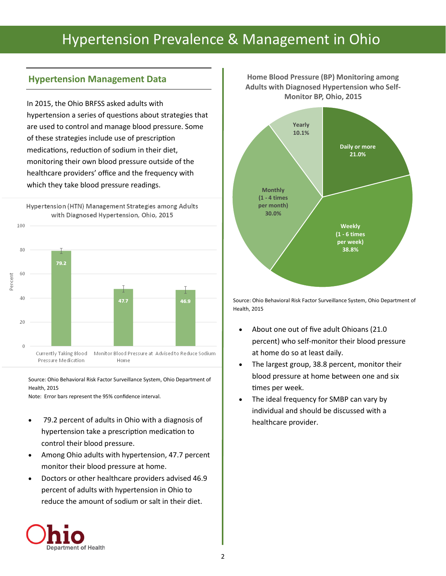# Hypertension Prevalence & Management in Ohio

# **Hypertension Management Data**

In 2015, the Ohio BRFSS asked adults with hypertension a series of questions about strategies that are used to control and manage blood pressure. Some of these strategies include use of prescription medications, reduction of sodium in their diet, monitoring their own blood pressure outside of the healthcare providers' office and the frequency with which they take blood pressure readings.

Hypertension (HTN) Management Strategies among Adults with Diagnosed Hypertension, Ohio, 2015 100 80 79.2 60 Percent 40 47.7 46.9 20  $\theta$ Currently Taking Blood Monitor Blood Pressure at Advised to Reduce Sodium Pressure Medication Home

Source: Ohio Behavioral Risk Factor Surveillance System, Ohio Department of Health, 2015

Note: Error bars represent the 95% confidence interval.

- 79.2 percent of adults in Ohio with a diagnosis of hypertension take a prescription medication to control their blood pressure.
- Among Ohio adults with hypertension, 47.7 percent monitor their blood pressure at home.
- Doctors or other healthcare providers advised 46.9 percent of adults with hypertension in Ohio to reduce the amount of sodium or salt in their diet.





Source: Ohio Behavioral Risk Factor Surveillance System, Ohio Department of Health, 2015

- About one out of five adult Ohioans (21.0 percent) who self-monitor their blood pressure at home do so at least daily.
- The largest group, 38.8 percent, monitor their blood pressure at home between one and six times per week.
- The ideal frequency for SMBP can vary by individual and should be discussed with a healthcare provider.

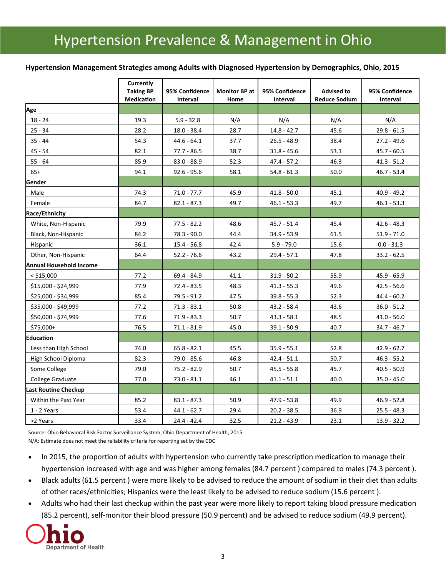#### **Hypertension Management Strategies among Adults with Diagnosed Hypertension by Demographics, Ohio, 2015**

|                                | Currently<br><b>Taking BP</b><br>Medication | 95% Confidence<br>Interval | <b>Monitor BP at</b><br>Home | 95% Confidence<br><b>Interval</b> | <b>Advised to</b><br><b>Reduce Sodium</b> | 95% Confidence<br>Interval |
|--------------------------------|---------------------------------------------|----------------------------|------------------------------|-----------------------------------|-------------------------------------------|----------------------------|
| Age                            |                                             |                            |                              |                                   |                                           |                            |
| 18 - 24                        | 19.3                                        | $5.9 - 32.8$               | N/A                          | N/A                               | N/A                                       | N/A                        |
| $25 - 34$                      | 28.2                                        | $18.0 - 38.4$              | 28.7                         | $14.8 - 42.7$                     | 45.6                                      | $29.8 - 61.5$              |
| $35 - 44$                      | 54.3                                        | $44.6 - 64.1$              | 37.7                         | $26.5 - 48.9$                     | 38.4                                      | 27.2 - 49.6                |
| $45 - 54$                      | 82.1                                        | $77.7 - 86.5$              | 38.7                         | $31.8 - 45.6$                     | 53.1                                      | $45.7 - 60.5$              |
| 55 - 64                        | 85.9                                        | $83.0 - 88.9$              | 52.3                         | $47.4 - 57.2$                     | 46.3                                      | $41.3 - 51.2$              |
| $65+$                          | 94.1                                        | $92.6 - 95.6$              | 58.1                         | $54.8 - 61.3$                     | 50.0                                      | 46.7 - 53.4                |
| Gender                         |                                             |                            |                              |                                   |                                           |                            |
| Male                           | 74.3                                        | $71.0 - 77.7$              | 45.9                         | $41.8 - 50.0$                     | 45.1                                      | $40.9 - 49.2$              |
| Female                         | 84.7                                        | $82.1 - 87.3$              | 49.7                         | $46.1 - 53.3$                     | 49.7                                      | $46.1 - 53.3$              |
| Race/Ethnicity                 |                                             |                            |                              |                                   |                                           |                            |
| White, Non-Hispanic            | 79.9                                        | 77.5 - 82.2                | 48.6                         | 45.7 - 51.4                       | 45.4                                      | 42.6 - 48.3                |
| Black, Non-Hispanic            | 84.2                                        | 78.3 - 90.0                | 44.4                         | $34.9 - 53.9$                     | 61.5                                      | $51.9 - 71.0$              |
| <b>Hispanic</b>                | 36.1                                        | $15.4 - 56.8$              | 42.4                         | $5.9 - 79.0$                      | 15.6                                      | $0.0 - 31.3$               |
| Other, Non-Hispanic            | 64.4                                        | $52.2 - 76.6$              | 43.2                         | $29.4 - 57.1$                     | 47.8                                      | $33.2 - 62.5$              |
| <b>Annual Household Income</b> |                                             |                            |                              |                                   |                                           |                            |
| $<$ \$15,000                   | 77.2                                        | 69.4 - 84.9                | 41.1                         | $31.9 - 50.2$                     | 55.9                                      | 45.9 - 65.9                |
| \$15,000 - \$24,999            | 77.9                                        | $72.4 - 83.5$              | 48.3                         | $41.3 - 55.3$                     | 49.6                                      | $42.5 - 56.6$              |
| \$25,000 - \$34,999            | 85.4                                        | 79.5 - 91.2                | 47.5                         | $39.8 - 55.3$                     | 52.3                                      | $44.4 - 60.2$              |
| \$35,000 - \$49,999            | 77.2                                        | $71.3 - 83.1$              | 50.8                         | $43.2 - 58.4$                     | 43.6                                      | $36.0 - 51.2$              |
| \$50,000 - \$74,999            | 77.6                                        | $71.9 - 83.3$              | 50.7                         | $43.3 - 58.1$                     | 48.5                                      | $41.0 - 56.0$              |
| $$75,000+$                     | 76.5                                        | $71.1 - 81.9$              | 45.0                         | $39.1 - 50.9$                     | 40.7                                      | $34.7 - 46.7$              |
| <b>Education</b>               |                                             |                            |                              |                                   |                                           |                            |
| Less than High School          | 74.0                                        | $65.8 - 82.1$              | 45.5                         | $35.9 - 55.1$                     | 52.8                                      | $42.9 - 62.7$              |
| High School Diploma            | 82.3                                        | $79.0 - 85.6$              | 46.8                         | $42.4 - 51.1$                     | 50.7                                      | $46.3 - 55.2$              |
| Some College                   | 79.0                                        | $75.2 - 82.9$              | 50.7                         | $45.5 - 55.8$                     | 45.7                                      | $40.5 - 50.9$              |
| College Graduate               | 77.0                                        | $73.0 - 81.1$              | 46.1                         | $41.1 - 51.1$                     | 40.0                                      | $35.0 - 45.0$              |
| Last Routine Checkup           |                                             |                            |                              |                                   |                                           |                            |
| Within the Past Year           | 85.2                                        | $83.1 - 87.3$              | 50.9                         | $47.9 - 53.8$                     | 49.9                                      | $46.9 - 52.8$              |
| 1 - 2 Years                    | 53.4                                        | $44.1 - 62.7$              | 29.4                         | $20.2 - 38.5$                     | 36.9                                      | $25.5 - 48.3$              |
| >2 Years                       | 33.4                                        | $24.4 - 42.4$              | 32.5                         | $21.2 - 43.9$                     | 23.1                                      | $13.9 - 32.2$              |

Source: Ohio Behavioral Risk Factor Surveillance System, Ohio Department of Health, 2015 N/A: Estimate does not meet the reliability criteria for reporting set by the CDC

- In 2015, the proportion of adults with hypertension who currently take prescription medication to manage their hypertension increased with age and was higher among females (84.7 percent ) compared to males (74.3 percent ).
- Black adults (61.5 percent ) were more likely to be advised to reduce the amount of sodium in their diet than adults of other races/ethnicities; Hispanics were the least likely to be advised to reduce sodium (15.6 percent ).
- Adults who had their last checkup within the past year were more likely to report taking blood pressure medication (85.2 percent), self-monitor their blood pressure (50.9 percent) and be advised to reduce sodium (49.9 percent).